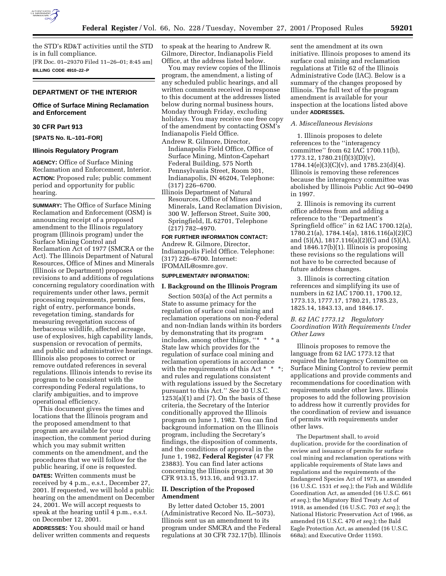

the STD's RD&T activities until the STD is in full compliance. [FR Doc. 01–29370 Filed 11–26–01; 8:45 am] **BILLING CODE 4910–22–P**

# **DEPARTMENT OF THE INTERIOR**

# **Office of Surface Mining Reclamation and Enforcement**

# **30 CFR Part 913**

**[SPATS No. IL–101–FOR]**

### **Illinois Regulatory Program**

**AGENCY:** Office of Surface Mining Reclamation and Enforcement, Interior. **ACTION:** Proposed rule; public comment period and opportunity for public hearing.

**SUMMARY:** The Office of Surface Mining Reclamation and Enforcement (OSM) is announcing receipt of a proposed amendment to the Illinois regulatory program (Illinois program) under the Surface Mining Control and Reclamation Act of 1977 (SMCRA or the Act). The Illinois Department of Natural Resources, Office of Mines and Minerals (Illinois or Department) proposes revisions to and additions of regulations concerning regulatory coordination with requirements under other laws, permit processing requirements, permit fees, right of entry, performance bonds, revegetation timing, standards for measuring revegetation success of herbaceous wildlife, affected acreage, use of explosives, high capability lands, suspension or revocation of permits, and public and administrative hearings. Illinois also proposes to correct or remove outdated references in several regulations. Illinois intends to revise its program to be consistent with the corresponding Federal regulations, to clarify ambiguities, and to improve operational efficiency.

This document gives the times and locations that the Illinois program and the proposed amendment to that program are available for your inspection, the comment period during which you may submit written comments on the amendment, and the procedures that we will follow for the public hearing, if one is requested.

**DATES:** Written comments must be received by 4 p.m., e.s.t., December 27, 2001. If requested, we will hold a public hearing on the amendment on December 24, 2001. We will accept requests to speak at the hearing until 4 p.m., e.s.t. on December 12, 2001.

**ADDRESSES:** You should mail or hand deliver written comments and requests to speak at the hearing to Andrew R. Gilmore, Director, Indianapolis Field Office, at the address listed below.

You may review copies of the Illinois program, the amendment, a listing of any scheduled public hearings, and all written comments received in response to this document at the addresses listed below during normal business hours, Monday through Friday, excluding holidays. You may receive one free copy of the amendment by contacting OSM's Indianapolis Field Office.

- Andrew R. Gilmore, Director, Indianapolis Field Office, Office of Surface Mining, Minton-Capehart Federal Building, 575 North Pennsylvania Street, Room 301, Indianapolis, IN 46204, Telephone: (317) 226–6700.
- Illinois Department of Natural Resources, Office of Mines and Minerals, Land Reclamation Division, 300 W. Jefferson Street, Suite 300, Springfield, IL 62701, Telephone (217) 782–4970.

**FOR FURTHER INFORMATION CONTACT:** Andrew R. Gilmore, Director, Indianapolis Field Office. Telephone: (317) 226–6700. Internet: IFOMAIL@osmre.gov.

#### **SUPPLEMENTARY INFORMATION:**

#### **I. Background on the Illinois Program**

Section 503(a) of the Act permits a State to assume primacy for the regulation of surface coal mining and reclamation operations on non-Federal and non-Indian lands within its borders by demonstrating that its program includes, among other things, ''\* \* \* a State law which provides for the regulation of surface coal mining and reclamation operations in accordance with the requirements of this Act \* \* \*; and rules and regulations consistent with regulations issued by the Secretary pursuant to this Act.'' *See* 30 U.S.C.  $1253(a)(1)$  and  $(7)$ . On the basis of these criteria, the Secretary of the Interior conditionally approved the Illinois program on June 1, 1982. You can find background information on the Illinois program, including the Secretary's findings, the disposition of comments, and the conditions of approval in the June 1, 1982, **Federal Register** (47 FR 23883). You can find later actions concerning the Illinois program at 30 CFR 913.15, 913.16, and 913.17.

# **II. Description of the Proposed Amendment**

By letter dated October 15, 2001 (Administrative Record No. IL–5073), Illinois sent us an amendment to its program under SMCRA and the Federal regulations at 30 CFR 732.17(b). Illinois

sent the amendment at its own initiative. Illinois proposes to amend its surface coal mining and reclamation regulations at Title 62 of the Illinois Administrative Code (IAC). Below is a summary of the changes proposed by Illinois. The full text of the program amendment is available for your inspection at the locations listed above under **ADDRESSES.**

# *A. Miscellaneous Revisions*

1. Illinois proposes to delete references to the ''interagency committee'' from 62 IAC 1700.11(b), 1773.12, 1780.21(f)(3)(D)(v),  $1784.14(e)(3)(C)(v)$ , and  $1785.23(d)(4)$ . Illinois is removing these references because the interagency committee was abolished by Illinois Public Act 90–0490 in 1997.

2. Illinois is removing its current office address from and adding a reference to the ''Department's Springfield office'' in 62 IAC 1700.12(a), 1780.21(a), 1784.14(a), 1816.116(a)(2)(C) and (5)(A), 1817.116(a)(2)(C) and (5)(A), and 1846.17(b)(1). Illinois is proposing these revisions so the regulations will not have to be corrected because of future address changes.

3. Illinois is correcting citation references and simplifying its use of numbers in 62 IAC 1700.11, 1700.12, 1773.13, 1777.17, 1780.21, 1785.23, 1825.14, 1843.13, and 1846.17.

# *B. 62 IAC 1773.12 Regulatory Coordination With Requirements Under Other Laws*

Illinois proposes to remove the language from 62 IAC 1773.12 that required the Interagency Committee on Surface Mining Control to review permit applications and provide comments and recommendations for coordination with requirements under other laws. Illinois proposes to add the following provision to address how it currently provides for the coordination of review and issuance of permits with requirements under other laws.

The Department shall, to avoid duplication, provide for the coordination of review and issuance of permits for surface coal mining and reclamation operations with applicable requirements of State laws and regulations and the requirements of the Endangered Species Act of 1973, as amended (16 U.S.C. 1531 *et seq.*); the Fish and Wildlife Coordination Act, as amended (16 U.S.C. 661 *et seq.*); the Migratory Bird Treaty Act of 1918, as amended (16 U.S.C. 703 *et seq.*); the National Historic Preservation Act of 1966, as amended (16 U.S.C. 470 *et seq.*); the Bald Eagle Protection Act, as amended (16 U.S.C. 668a); and Executive Order 11593.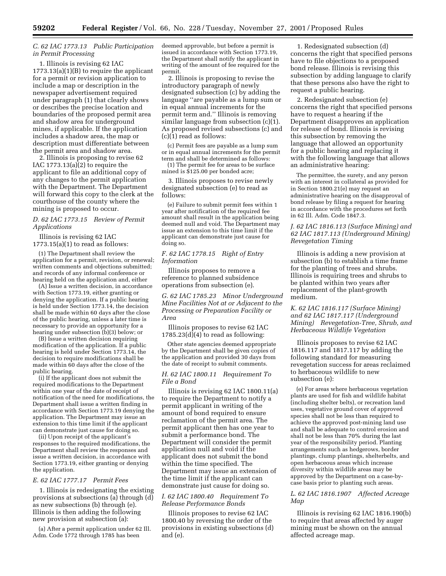# *C. 62 IAC 1773.13 Public Participation in Permit Processing*

1. Illinois is revising 62 IAC 1773.13(a)(1)(B) to require the applicant for a permit or revision application to include a map or description in the newspaper advertisement required under paragraph (1) that clearly shows or describes the precise location and boundaries of the proposed permit area and shadow area for underground mines, if applicable. If the application includes a shadow area, the map or description must differentiate between the permit area and shadow area.

2. Illinois is proposing to revise 62 IAC  $1773.13(a)(2)$  to require the applicant to file an additional copy of any changes to the permit application with the Department. The Department will forward this copy to the clerk at the courthouse of the county where the mining is proposed to occur.

## *D. 62 IAC 1773.15 Review of Permit Applications*

Illinois is revising 62 IAC  $1773.15(a)(1)$  to read as follows:

(1) The Department shall review the application for a permit, revision, or renewal; written comments and objections submitted; and records of any informal conference or hearing held on the application and, either

(A) Issue a written decision, in accordance with Section 1773.19, either granting or denying the application. If a public hearing is held under Section 1773.14, the decision shall be made within 60 days after the close of the public hearing, unless a later time is necessary to provide an opportunity for a hearing under subsection  $(b)(3)$  below; or

(B) Issue a written decision requiring modification of the application. If a public hearing is held under Section 1773.14, the decision to require modifications shall be made within 60 days after the close of the public hearing.

(i) If the applicant does not submit the required modifications to the Department within one year of the date of receipt of notification of the need for modifications, the Department shall issue a written finding in accordance with Section 1773.19 denying the application. The Department may issue an extension to this time limit if the applicant can demonstrate just cause for doing so.

(ii) Upon receipt of the applicant's responses to the required modifications, the Department shall review the responses and issue a written decision, in accordance with Section 1773.19, either granting or denying the application.

## *E. 62 IAC 1777.17 Permit Fees*

1. Illinois is redesignating the existing provisions at subsections (a) through (d) as new subsections (b) through (e). Illinois is then adding the following new provision at subsection (a):

(a) After a permit application under 62 Ill. Adm. Code 1772 through 1785 has been

deemed approvable, but before a permit is issued in accordance with Section 1773.19, the Department shall notify the applicant in writing of the amount of fee required for the permit.

2. Illinois is proposing to revise the introductory paragraph of newly designated subsection (c) by adding the language ''are payable as a lump sum or in equal annual increments for the permit term and.'' Illinois is removing similar language from subsection (c)(1). As proposed revised subsections (c) and (c)(1) read as follows:

(c) Permit fees are payable as a lump sum or in equal annual increments for the permit term and shall be determined as follows:

(1) The permit fee for areas to be surface mined is \$125.00 per bonded acre;

3. Illinois proposes to revise newly designated subsection (e) to read as follows:

(e) Failure to submit permit fees within 1 year after notification of the required fee amount shall result in the application being deemed null and void. The Department may issue an extension to this time limit if the applicant can demonstrate just cause for doing so.

## *F. 62 IAC 1778.15 Right of Entry Information*

Illinois proposes to remove a reference to planned subsidence operations from subsection (e).

*G. 62 IAC 1785.23 Minor Underground Mine Facilities Not at or Adjacent to the Processing or Preparation Facility or Area*

Illinois proposes to revise 62 IAC  $1785.23(d)(4)$  to read as following:

Other state agencies deemed appropriate by the Department shall be given copies of the application and provided 30 days from the date of receipt to submit comments.

### *H. 62 IAC 1800.11 Requirement To File a Bond*

Illinois is revising 62 IAC 1800.11(a) to require the Department to notify a permit applicant in writing of the amount of bond required to ensure reclamation of the permit area. The permit applicant then has one year to submit a performance bond. The Department will consider the permit application null and void if the applicant does not submit the bond within the time specified. The Department may issue an extension of the time limit if the applicant can demonstrate just cause for doing so.

# *I. 62 IAC 1800.40 Requirement To Release Performance Bonds*

Illinois proposes to revise 62 IAC 1800.40 by reversing the order of the provisions in existing subsections (d) and (e).

1. Redesignated subsection (d) concerns the right that specified persons have to file objections to a proposed bond release. Illinois is revising this subsection by adding language to clarify that these persons also have the right to request a public hearing.

2. Redesignated subsection (e) concerns the right that specified persons have to request a hearing if the Department disapproves an application for release of bond. Illinois is revising this subsection by removing the language that allowed an opportunity for a public hearing and replacing it with the following language that allows an administrative hearing:

The permittee, the surety, and any person with an interest in collateral as provided for in Section 1800.21(e) may request an administrative hearing on the disapproval of bond release by filing a request for hearing in accordance with the procedures set forth in 62 Ill. Adm. Code 1847.3.

# *J. 62 IAC 1816.113 (Surface Mining) and 62 IAC 1817.113 (Underground Mining) Revegetation Timing*

Illinois is adding a new provision at subsection (b) to establish a time frame for the planting of trees and shrubs. Illinois is requiring trees and shrubs to be planted within two years after replacement of the plant-growth medium.

# *K. 62 IAC 1816.117 (Surface Mining) and 62 IAC 1817.117 (Underground Mining) Revegetation-Tree, Shrub, and Herbaceous Wildlife Vegetation*

Illinois proposes to revise 62 IAC 1816.117 and 1817.117 by adding the following standard for measuring revegetation success for areas reclaimed to herbaceous wildlife to new subsection (e):

(e) For areas where herbaceous vegetation plants are used for fish and wildlife habitat (including shelter belts), or recreation land uses, vegetative ground cover of approved species shall not be less than required to achieve the approved post-mining land use and shall be adequate to control erosion and shall not be less than 70% during the last year of the responsibility period. Planting arrangements such as hedgerows, border plantings, clump plantings, shelterbelts, and open herbaceous areas which increase diversity within wildlife areas may be approved by the Department on a case-bycase basis prior to planting such areas.

## *L. 62 IAC 1816.1907 Affected Acreage Map*

Illinois is revising 62 IAC 1816.190(b) to require that areas affected by auger mining must be shown on the annual affected acreage map.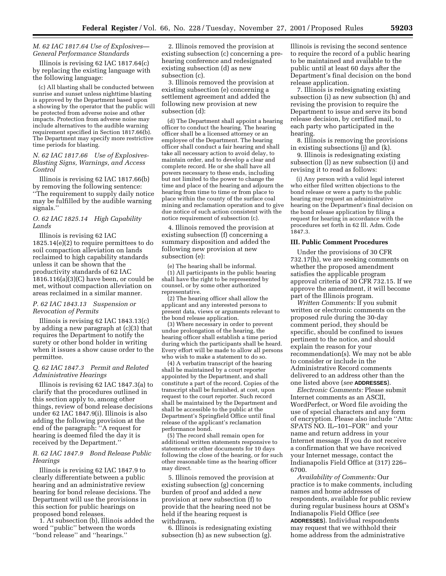# *M. 62 IAC 1817.64 Use of Explosives— General Performance Standards*

Illinois is revising 62 IAC 1817.64(c) by replacing the existing language with the following language:

(c) All blasting shall be conducted between sunrise and sunset unless nighttime blasting is approved by the Department based upon a showing by the operator that the public will be protected from adverse noise and other impacts. Protection from adverse noise may include alternatives to the audible warning requirement specified in Section 1817.66(b). The Department may specify more restrictive time periods for blasting.

### *N. 62 IAC 1817.66 Use of Explosives-Blasting Signs, Warnings, and Access Control*

Illinois is revising 62 IAC 1817.66(b) by removing the following sentence: ''The requirement to supply daily notice may be fulfilled by the audible warning signals.''

## *O. 62 IAC 1825.14 High Capability Lands*

Illinois is revising 62 IAC 1825.14(e)(2) to require permittees to do soil compaction alleviation on lands reclaimed to high capability standards unless it can be shown that the productivity standards of 62 IAC  $1816.116(a)(3)(C)$  have been, or could be met, without compaction alleviation on areas reclaimed in a similar manner.

### *P. 62 IAC 1843.13 Suspension or Revocation of Permits*

Illinois is revising 62 IAC 1843.13(c) by adding a new paragraph at (c)(3) that requires the Department to notify the surety or other bond holder in writing when it issues a show cause order to the permittee.

## *Q. 62 IAC 1847.3 Permit and Related Administrative Hearings*

Illinois is revising 62 IAC 1847.3(a) to clarify that the procedures outlined in this section apply to, among other things, review of bond release decisions under 62 IAC 1847.9(i). Illinois is also adding the following provision at the end of the paragraph: ''A request for hearing is deemed filed the day it is received by the Department.''

### *R. 62 IAC 1847.9 Bond Release Public Hearings*

Illinois is revising 62 IAC 1847.9 to clearly differentiate between a public hearing and an administrative review hearing for bond release decisions. The Department will use the provisions in this section for public hearings on proposed bond releases.

1. At subsection (b), Illinois added the word ''public'' between the words ''bond release'' and ''hearings.''

2. Illinois removed the provision at existing subsection (c) concerning a prehearing conference and redesignated existing subsection (d) as new subsection (c).

3. Illinois removed the provision at existing subsection (e) concerning a settlement agreement and added the following new provision at new subsection (d):

(d) The Department shall appoint a hearing officer to conduct the hearing. The hearing officer shall be a licensed attorney or an employee of the Department. The hearing officer shall conduct a fair hearing and shall take all necessary action to avoid delay, to maintain order, and to develop a clear and complete record. He or she shall have all powers necessary to these ends, including but not limited to the power to change the time and place of the hearing and adjourn the hearing from time to time or from place to place within the county of the surface coal mining and reclamation operation and to give due notice of such action consistent with the notice requirement of subsection (c).

4. Illinois removed the provision at existing subsection (f) concerning a summary disposition and added the following new provision at new subsection (e):

(e) The hearing shall be informal. (1) All participants in the public hearing shall have the right to be represented by counsel, or by some other authorized representative.

(2) The hearing officer shall allow the applicant and any interested persons to present data, views or arguments relevant to the bond release application.

(3) Where necessary in order to prevent undue prolongation of the hearing, the hearing officer shall establish a time period during which the participants shall be heard. Every effort will be made to allow all persons who wish to make a statement to do so.

(4) A verbatim transcript of the hearing shall be maintained by a court reporter appointed by the Department, and shall constitute a part of the record. Copies of the transcript shall be furnished, at cost, upon request to the court reporter. Such record shall be maintained by the Department and shall be accessible to the public at the Department's Springfield Office until final release of the applicant's reclamation performance bond.

(5) The record shall remain open for additional written statements responsive to statements or other documents for 10 days following the close of the hearing, or for such other reasonable time as the hearing officer may direct.

5. Illinois removed the provision at existing subsection (g) concerning burden of proof and added a new provision at new subsection (f) to provide that the hearing need not be held if the hearing request is withdrawn.

6. Illinois is redesignating existing subsection (h) as new subsection (g). Illinois is revising the second sentence to require the record of a public hearing to be maintained and available to the public until at least 60 days after the Department's final decision on the bond release application.

7. Illinois is redesignating existing subsection (i) as new subsection (h) and revising the provision to require the Department to issue and serve its bond release decision, by certified mail, to each party who participated in the hearing.

8. Illinois is removing the provisions in existing subsections (j) and (k).

9. Illinois is redesignating existing subsection (l) as new subsection (i) and revising it to read as follows:

(i) Any person with a valid legal interest who either filed written objections to the bond release or were a party to the public hearing may request an administrative hearing on the Department's final decision on the bond release application by filing a request for hearing in accordance with the procedures set forth in 62 Ill. Adm. Code 1847.3.

## **III. Public Comment Procedures**

Under the provisions of 30 CFR 732.17(h), we are seeking comments on whether the proposed amendment satisfies the applicable program approval criteria of 30 CFR 732.15. If we approve the amendment, it will become part of the Illinois program.

*Written Comments:* If you submit written or electronic comments on the proposed rule during the 30-day comment period, they should be specific, should be confined to issues pertinent to the notice, and should explain the reason for your recommendation(s). We may not be able to consider or include in the Administrative Record comments delivered to an address other than the one listed above (*see* **ADDRESSES**).

*Electronic Comments:* Please submit Internet comments as an ASCII, WordPerfect, or Word file avoiding the use of special characters and any form of encryption. Please also include ''Attn: SPATS NO. IL–101–FOR'' and your name and return address in your Internet message. If you do not receive a confirmation that we have received your Internet message, contact the Indianapolis Field Office at (317) 226– 6700.

*Availability of Comments:* Our practice is to make comments, including names and home addresses of respondents, available for public review during regular business hours at OSM's Indianapolis Field Office (*see* **ADDRESSES**). Individual respondents may request that we withhold their home address from the administrative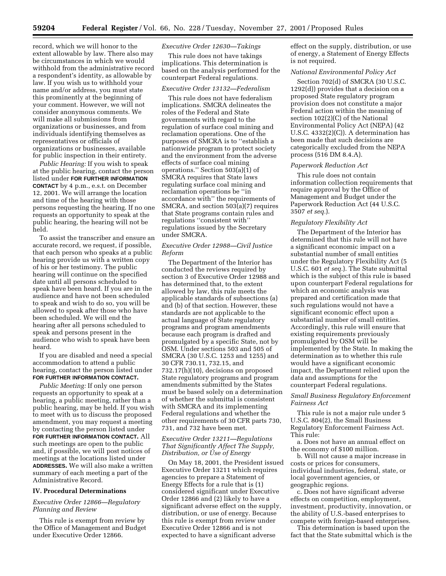record, which we will honor to the extent allowable by law. There also may be circumstances in which we would withhold from the administrative record a respondent's identity, as allowable by law. If you wish us to withhold your name and/or address, you must state this prominently at the beginning of your comment. However, we will not consider anonymous comments. We will make all submissions from organizations or businesses, and from individuals identifying themselves as representatives or officials of organizations or businesses, available for public inspection in their entirety.

*Public Hearing:* If you wish to speak at the public hearing, contact the person listed under **FOR FURTHER INFORMATION CONTACT** by 4 p.m., e.s.t. on December 12, 2001. We will arrange the location and time of the hearing with those persons requesting the hearing. If no one requests an opportunity to speak at the public hearing, the hearing will not be held.

To assist the transcriber and ensure an accurate record, we request, if possible, that each person who speaks at a public hearing provide us with a written copy of his or her testimony. The public hearing will continue on the specified date until all persons scheduled to speak have been heard. If you are in the audience and have not been scheduled to speak and wish to do so, you will be allowed to speak after those who have been scheduled. We will end the hearing after all persons scheduled to speak and persons present in the audience who wish to speak have been heard.

If you are disabled and need a special accommodation to attend a public hearing, contact the person listed under **FOR FURTHER INFORMATION CONTACT.**

*Public Meeting:* If only one person requests an opportunity to speak at a hearing, a public meeting, rather than a public hearing, may be held. If you wish to meet with us to discuss the proposed amendment, you may request a meeting by contacting the person listed under **FOR FURTHER INFORMATION CONTACT.** All such meetings are open to the public and, if possible, we will post notices of meetings at the locations listed under **ADDRESSES.** We will also make a written summary of each meeting a part of the Administrative Record.

#### **IV. Procedural Determinations**

# *Executive Order 12866—Regulatory Planning and Review*

This rule is exempt from review by the Office of Management and Budget under Executive Order 12866.

### *Executive Order 12630—Takings*

This rule does not have takings implications. This determination is based on the analysis performed for the counterpart Federal regulations.

# *Executive Order 13132—Federalism*

This rule does not have federalism implications. SMCRA delineates the roles of the Federal and State governments with regard to the regulation of surface coal mining and reclamation operations. One of the purposes of SMCRA is to ''establish a nationwide program to protect society and the environment from the adverse effects of surface coal mining operations.'' Section 503(a)(1) of SMCRA requires that State laws regulating surface coal mining and reclamation operations be ''in accordance with'' the requirements of SMCRA, and section 503(a)(7) requires that State programs contain rules and regulations ''consistent with'' regulations issued by the Secretary under SMCRA.

# *Executive Order 12988—Civil Justice Reform*

The Department of the Interior has conducted the reviews required by section 3 of Executive Order 12988 and has determined that, to the extent allowed by law, this rule meets the applicable standards of subsections (a) and (b) of that section. However, these standards are not applicable to the actual language of State regulatory programs and program amendments because each program is drafted and promulgated by a specific State, not by OSM. Under sections 503 and 505 of SMCRA (30 U.S.C. 1253 and 1255) and 30 CFR 730.11, 732.15, and 732.17(h)(10), decisions on proposed State regulatory programs and program amendments submitted by the States must be based solely on a determination of whether the submittal is consistent with SMCRA and its implementing Federal regulations and whether the other requirements of 30 CFR parts 730, 731, and 732 have been met.

## *Executive Order 13211—Regulations That Significantly Affect The Supply, Distribution, or Use of Energy*

On May 18, 2001, the President issued Executive Order 13211 which requires agencies to prepare a Statement of Energy Effects for a rule that is (1) considered significant under Executive Order 12866 and (2) likely to have a significant adverse effect on the supply, distribution, or use of energy. Because this rule is exempt from review under Executive Order 12866 and is not expected to have a significant adverse

effect on the supply, distribution, or use of energy, a Statement of Energy Effects is not required.

## *National Environmental Policy Act*

Section 702(d) of SMCRA (30 U.S.C. 1292(d)) provides that a decision on a proposed State regulatory program provision does not constitute a major Federal action within the meaning of section 102(2)(C) of the National Environmental Policy Act (NEPA) (42 U.S.C. 4332(2)(C)). A determination has been made that such decisions are categorically excluded from the NEPA process (516 DM 8.4.A).

### *Paperwork Reduction Act*

This rule does not contain information collection requirements that require approval by the Office of Management and Budget under the Paperwork Reduction Act (44 U.S.C. 3507 *et seq.*).

### *Regulatory Flexibility Act*

The Department of the Interior has determined that this rule will not have a significant economic impact on a substantial number of small entities under the Regulatory Flexibility Act (5 U.S.C. 601 *et seq.*). The State submittal which is the subject of this rule is based upon counterpart Federal regulations for which an economic analysis was prepared and certification made that such regulations would not have a significant economic effect upon a substantial number of small entities. Accordingly, this rule will ensure that existing requirements previously promulgated by OSM will be implemented by the State. In making the determination as to whether this rule would have a significant economic impact, the Department relied upon the data and assumptions for the counterpart Federal regulations.

## *Small Business Regulatory Enforcement Fairness Act*

This rule is not a major rule under 5 U.S.C. 804(2), the Small Business Regulatory Enforcement Fairness Act. This rule:

a. Does not have an annual effect on the economy of \$100 million.

b. Will not cause a major increase in costs or prices for consumers, individual industries, federal, state, or local government agencies, or geographic regions.

c. Does not have significant adverse effects on competition, employment, investment, productivity, innovation, or the ability of U.S.-based enterprises to compete with foreign-based enterprises.

This determination is based upon the fact that the State submittal which is the